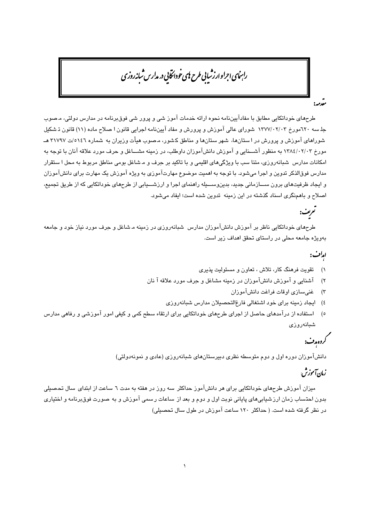# رابنای اجراوارزشایی طرح نای خودانخایی در مدارس شانه روزی

..<br>مقدمہ:

طرحهای خوداتکایی مطابق با مفادآییننامه نحوه ارائه خدمات آموز شی و پرور شی فوقبرنامه در مدارس دولتی، مـصوب جلسه ٦٢٠مورخ ١٣٧٧/٠٢/٠٣ شوراي عالي آموزش و پرورش و مفاد آييننامه اجرايي قانون ا صلاح ماده (١١) قانون تشكيل شوراهای آموزش و پرورش در استانها، شهر ستانها و مناطق کشور، مصوب هبأت وزیران به شماره ٥١٤٦/ص ٣١٧٩٧ هــ مورخ ۱۳۸٤/۰۲/۰۳ به منظور آشــــنایی و آموزش دانشآموزان داوطلب، در زمینه مشــــاغل و حرف مورد علاقه آنان با توجه به امکانات مدارس شبانهروزی، متنا سب با ویژگیهای اقلیمی و با تاکید بر حرف و مشاغل بومی مناطق مربوط به محل ا ستقرار مدارس فوقالذکر تدوین و اجرا میشود. با توجه به اهمیت موضوع مهارتآموزی به ویژه آموزش یک مهارت برای دانشآموزان و ایجاد ظرفیتهای برون ســازمانی جدید، بدینوســـیله راهنمای اجرا و ارزشـــیابی از طرحهای خوداتکایی که از طریق تجمیع، اصلاح و باهمنگری اسناد گذشته در این زمینه تدوین شده است؛ ایفاد می شود.

# تعریف:

طرحهای خوداتکایی ناظر بر آموزش دانشآموزان مدارس شبانهروزی در زمینه مـشاغل و جرف مورد نیاز خود و جامعه بهویژه جامعه محلی در راستای تحقق اهداف زیر است.

## امات:

- تقویت فرهنگ کار، تلاش ، تعاون و مسئولیت پذیری  $\sqrt{ }$
- آشنایی و آموزش دانشآموزان در زمینه مشاغل و حرف مورد علاقه آ نان  $(\tau$ 
	- ۳) غني سازي اوقات فراغت دانشآموزان
	- ٤) ايجاد زمينه براي خود اشتغالي فارغ التحصيلان مدارس شبانهروزي
- ٥) استفاده از درآمدهای حاصل از اجرای طرحهای خوداتکایی برای ارتقاء سطح کمی و کیفی امور آموزشی و رفاهی مدارس شبانەروزى

# کروہ مدت:

دانشآموران دوره اول و دوم متوسطه نظری دبیرستانهای شیانهروزی (عادی و نمونهدولتی)

# زمان آموزش.

میزان آموزش طرحهای خوداتکایی برای هر دانشآموز حداکثر سه روز در هفته به مدت ٦ ساعت از ابتدای سال تحصیلی بدون احتساب زمان ارز شيابي هاي پاياني نوبت اول و دوم و بعد از ساعات رسمي آموزش و به صورت فوق برنامه و اختياري در نظر گرفته شده است. ( حداکثر ١٢٠ ساعت آموزش در طول سال تحصيلي)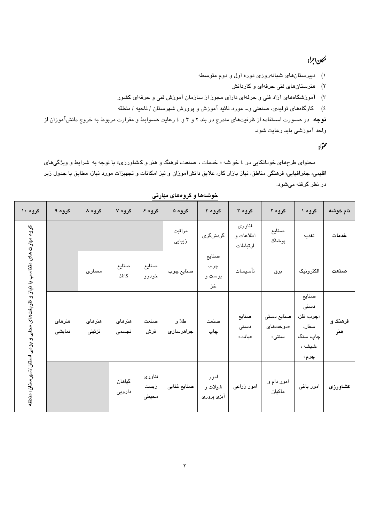## مكان اجرا:

۱) دبیرستانهای شبانهروزی دوره اول و دوم متوسطه

۲) هنرستانهای فنی حرفهای و کاردانش

۳) آموزشگاههای آزاد فنی و حرفهای دارای مجوز از سازمان آموزش فنی و حرفهای کشور

٤) كارگاههاى توليدى، صنعتى و… مورد تائيد آموزش و پرورش شهرستان / ناحيه / منطقه

**توج**ه: در صـورت اسـتفاده از ظرفیتهای مندرج در بند ۲ و ۳ و ٤ رعایت ضـوابط و مقرارت مربوط به خروج دانشآموزان از واحد آموزشی باید رعایت شود.

## محتواد

محتوای طرحهای خوداتکایی در ٤ خو شه « خدمات ، صنعت، فرهنگ و هنر و کشاورزی» با توجه به شرایط و ویژگیهای اقلیمی، جغرافیایی، فرهنگی مناطق، نیاز بازار کار، علایق دانشآموزان و نیز امکانات و تجهیزات مورد نیاز، مطابق با جدول زیر در نظر گرفته میشود.

| گروه ۱۰                                                                    | گروه ۹           | گروه ۸           | گروه ۷           | گروه ۶                  | گروه ۵             | گروه ۴                        | گروه ۳                          | گروه ۲                          | گروه ۱                                                              | نام خوشه       |
|----------------------------------------------------------------------------|------------------|------------------|------------------|-------------------------|--------------------|-------------------------------|---------------------------------|---------------------------------|---------------------------------------------------------------------|----------------|
| گروه مهارت های متناسب با نیاز و ظریفتهای محلی و بومی استان /شهرستان/ منطقه |                  |                  |                  |                         | مراقبت<br>زیبایی   | گردشگر <i>ی</i>               | فناوري<br>اطلاعات و<br>ارتباطات | صنايع<br>پوشاک                  | تغذيه                                                               | خدمات          |
|                                                                            |                  | معماري           | صنايع<br>كاغذ    | صنايع<br>خودرو          | صنايع چوب          | صنايع<br>چرم،<br>پوست و<br>خز | تأسيسات                         | برق                             | الكترونيك                                                           | صنعت           |
|                                                                            | هنرهای<br>نمایشی | هنرهای<br>تزئينى | هنرهای<br>تجسمى  | صنعت<br>فرش             | طلا و<br>جواهرسازی | صنعت<br>چاپ                   | صنايع<br>دستی<br>«بافت»         | صنايع دستى<br>«دوختهای<br>سنتى» | صنايع<br>دستی<br>«چوب، فلز،<br>سفال،<br>چاپ، سنگ<br>،شیشه ،<br>چرم» | فرهنگ و<br>هنر |
|                                                                            |                  |                  | گیاهان<br>دارویی | فناوري<br>زيست<br>محيطى | صنايع غذايي        | امور<br>شيلات و<br>آبزی پروری | امور زراعى                      | امور دام و<br>ماكيان            | امور باغی                                                           | كشاورزى        |

خوشهها و گروههای مهارتی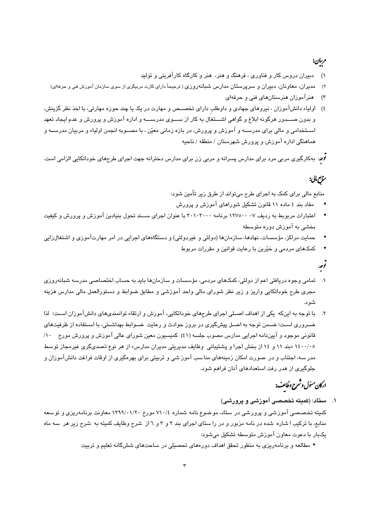## مرسان:

- دبیران دروس کار و فناوری ، فرهنگ و هنر، هنر و کارگاه کارآفرینی و تولید
- مدبر ان، معاوینان، دبیران و سرپرستان مدارس شیانهروزی ( ترجیحاً دارای کارت مربیگری از سوی سازمان آموزش ننی و حرفهای)  $(\tau)$ 
	- هنرآموزان هنرستانهای فنی و حرفهای  $(\tau$
- ٤) اولیاء دانشآموزان ، نیروهای جهادی و داوطلب دارای تخصــص و مهارت در یک یا چند حوزه مهارتی، با اخذ نظر گزینش، و بدون صـــدور هرگونه ابلاغ و گواهی اشـــتغال به کار از ســـوی مدرســـه و اداره آموزش و پرورش و عدم ایجاد تعهد اســتخدامی و مالی برای مدرســه و آموزش و پرورش، در بازه زمانی معیّن ، با مصــوبه انجمن اولیاء و مربیان مدرســه و هماهنگی اداره آموزش و پرورش شهرستان / منطقه / ناحیه

*۔<br>لاه*: بهکارگیری مربی مرد برای مدارس پسرانه و مربی زن برای مدارس دخترانه جهت اجرای طرحهای خوداتکایی الزامی است.

## مناس مالی:

منابع مالی برای کمک به اجرای طرح میتواند از طرق زیر تأمین شود:

- مفاد بند ٤ ماده ١١ قانون تشكيل شوراهاي آموزش و پرورش
- اعتبارات مربوبط به ردیف ۷– ۱۲۷۰۰۰ برنامه ۳۰۱۰۳۰۰۰ با عنوان اجرای ســند تحول بنیادین آموزش و پرورش و کیفیت ىخشى يە آموزش دورە متوسطە
- حمایت مراکز، مؤسسات، نهادها، سازمانها (دولتی و غیردولتی) و دستگاههای اجرایی در امر مهارتآموزی و اشت**غ**الزایی
	- کمکهای مردمی و خیّرین با رعایت قوانین و مقررات مربوط

## تور:

- تمامی وجوه دریافتی اعم از دولتی، کمکهای مردمی، مؤسسات و سازمانها باید به حساب اختصاصی مدرسه شبانهروزی مجری طرح خوداتکایی واریز و زیر نظر شورای مالی واحد آموزشی و مطابق ضوابط و دستورالعمل مالی مدارس هزینه شو د.
- ۲. با توجه به اینکه یکی از اهداف اصـلی اجرای طرحهای خوداتکایی، آموزش و ارتقاء توانمندیهای دانشآموزان اسـت؛ لذا ضـروری اسـت؛ ضـمن توجه به اصـل پیشگیری در بروز حوادث و رعایت ضـوابط بهداشـتی، با اسـتفاده از ظرفیتهای قانونی موجود و آییننامه اجرایی مدارس مصوب جلسه (٤١) کمیسیون معین شورای عالی آموزش و پرورش مورخ ۱۰/ ۱٤٠٠/۰٥ «بند ١١ و ١٤ از بخش اجرا و پشتیبانی وظایف مدیریتی مدیران مدارس» از هر نوع تصدیگری غیرمجاز توسط مدر سه، اجتناب و در صورت امکان زمینههای منا سب آموز شی و تربیتی برای بهرهگیری از اوقات فراغت دانشآموزان و جلوگیری از هدر رفت استعدادهای آنان فراهم شود.

# اركان مئول وشمرح وظائف:

۱. ستاد: (کمیته تخصصی آموزشی و پرورشی)

کمیته تخصصصی آموزشی و پرورشی در ستاد، موضوع نامه شماره ۷۱۰/٤ مورخ ۱۳۹۹/۰۱/۲۰ معاونت برنامهریزی و توسعه منابع، با ترکیب ا شاره شده در نامه مزبور و در را ستای اجرای بند ۲ و ۳ و ۱ از شرح وظایف کمیته به شرح زیر هر سه ماه بکيار يا دعوت معاون آموزش متوسطه تشکيل مي شود:

• مطالعه و برنامهریزی به منظور تحقق اهداف دورههای تحصیلی در ساحتهای ششگانه تعلیم و تربیت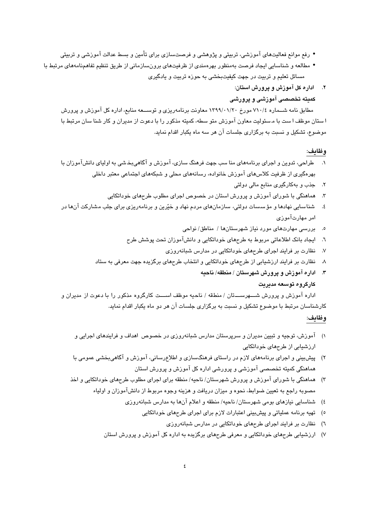- رفع موانع فعالیتهای آموزشی، تربیتی و پژوهشی و فرصتسازی برای تأمین و بسط عدالت آموزشی و تربیتی
- مطالعه و شناسایی ایجاد فرصت بهمنظور بهرهمندی از ظرفیتهای برونسازمانی از طریق تنظیم تفاهمنامههای مرتبط با مسائل تعلیم و تربیت در جهت کیفیتبخشی به حوزه تربیت و یادگیری
	- ۲. اداره کل آموزش و پرورش استان:
	- کمیته تخصصی آموزشی و پرورشی

مطابق نامه شــماره ٧١٠/٤ مورخ ١٣٩٩/٠١/٢٠ معاونت برنامهريزي و توســـعه منابع، اداره كل آموزش و پرورش ا ستان موظف ا ست با م سئولیت معاون آموزش متو سطه، کمیته مذکور را با دعوت از مدیران و کار شنا سان مرتبط با موضوع، تشکیل و نسبت به برگزاری جلسات آن هر سه ماه یکبار اقدام نماید.

#### وظايف:

- ۱. طراحی، تدوین و اجرای برنامههای منا سب جهت فرهنگ سازی، آموزش و آگاهیبخشی به اولیای دانشآموزان با بهرهگیری از ظرفیت کلاسهای آموزش خانواده، رسانههای محلی و شبکههای اجتماعی معتبر داخلی
	- ۲. جذب و بهکارگیری منابع مالی دولتی
	- هماهنگی با شورای آموزش و پرورش استان در خصوص اجرای مطلوب طرحهای خوداتکایی  $\cdot$
- شناسایی نهادها و مؤسسات دولتی، سازمانهای مردم نهاد و خیّرین و برنامهریزی برای جلب مشارکت آنها در  $.5\,$ امر مهارتآموزی
	- بررسی مهارتهای مورد نیاز شهرستانها / مناطق/ نواحی  $\cdot$ .0
	- ٦. ايجاد بانک اطلاعاتي مربوط به طرحهاي خوداتکايي و دانشآموزان تحت پوشش طرح
		- نظارت بر فرایند اجرای طرحهای خوداتکایی در مدارس شبانهروزی  $\mathsf{V}$
	- نظارت بر فرایند ارزشیابی از طرحهای خوداتکایی و انتخاب طرحهای برگزیده جهت معرفی به ستاد  $\boldsymbol{\mathcal{A}}$ 
		- ۳. اداره آموزش و پرورش شهرستان / منطقه/ ناحیه

#### كارگروه توسعه مديريت

اداره آموزش و پرورش شـــهرســـتان / منطقه / ناحیه موظف اســـت کارگروه مذکور را با دعوت از مدیران و کارشناسان مرتبط با موضوع تشکیل و نسبت به برگزاری جلسات آن هر دو ماه یکبار اقدام نماید.

## وظايف:

- ۱) آموزش، توجیه و تبیین مدیران و سرپرستان مدارس شبانهروزی در خصوص اهداف و فرایندهای اجرایی و ارزشیابی از طرحهای خوداتکایی
- ۲) پیشبینی و اجرای برنامههای لازم در راستای فرهنگسازی و اطلاعرسانی، آموزش و آگاهیبخشی عمومی با هماهنگی کمیته تخصصی آموزشی و پرورشی اداره کل آموزش و پرورش استان
- ۳) هماهنگی با شورای آموزش و پرورش شهرستان/ ناحیه/ منطقه برای اجرای مطلوب طرحهای خوداتکایی و اخذ مصوبه راجع به تعیین ضوابط، نحوه و میزان دریافت و هزینه وجوه مربوط از دانشآموزان و اولیاء
	- ٤) شناسايي نيازهاي بومي شهرستان/ ناحيه/ منطقه و اعلام آنها به مدارس شبانهروزي
		- ٥) قهيه برنامه عملياتي و پيشبيني اعتبارات لازم براي اجراي طرحهاي خوداتكايي
			- ٦) نظارت بر فرایند اجرای طرحهای خوداتکایی در مدارس شبانهروزی
	- ۷) ارزشیابی طرحهای خوداتکایی و معرفی طرحهای برگزیده به اداره کل آموزش و پرورش استان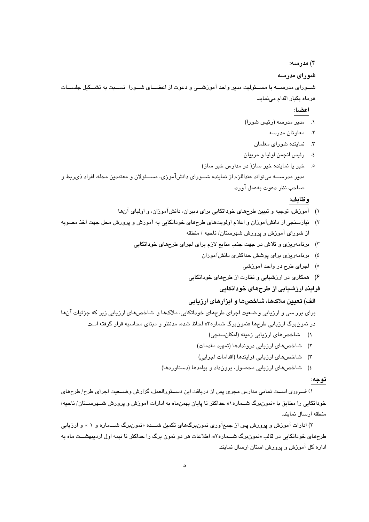۴) مدرسه: شورای مدرسه شــورای مدرســـه با مســئولیت مدیر واحد آموزشـــی و دعوت از اعضـــای شــورا نســـبت به تشــکیل جلســـات هرماه يكبار اقدام مى نمايد.

### اعضا:

- ۰۱ مدیر مدرسه (رئیس شورا)
	- ٢. معاونان مدرسه
	- ۳. نماینده شورای معلمان
- ٤. رئيس انجمن اوليا و مربيان
- ه. خير يا نماينده خير ساز( در مدارس خير ساز) مدير مدرســـه مي تواند عنداللزم از نماينده شــوراي دانشآموزي، مســئولان و معتمدين محله، افراد ذي ربط و صاحب نظر دعوت بهعمل آورد.

## وظايف:

- ۱) آموزش، توجیه و تبیین طرحهای خوداتکایی برای دبیران، دانشآموزان، و اولیای آنها
- ۲) نیازسنجی از دانشآموزان و اعلام اولویتهای طرحهای خوداتکایی به آموزش و پرورش محل جهت اخذ مصوبه از شورای آموزش و پرورش شهرستان/ ناحیه / منطقه
	- ۳) برنامهریزی و تلاش در جهت جذب منابع لازم برای اجرای طرحهای خوداتکایی
		- ٤) برنامەریزی برای پوشش حداکثری دانشآموزان
			- ٥) اجرای طرح در واحد آموزشی
		- ۴) همکاری در ارزشیابی و نظارت از طرحهای خوداتکایی

#### فرایند ارزشیابی از طرحهای خوداتکایی

#### الف) تعیین ملاکها، شاخصها و ابزارهای ارزیابی

برای برر سی و ارزیابی و ضعیت اجرای طرحهای خوداتکایی، ملاکها و شاخصهای ارزیابی زیر که جزئیات آنها در نمونبرگ ارزیابی طرحها «نمونبرگ شماره۲» لحاظ شده، مدنظر و مبنای محاسبه قرار گرفته است

- ١) شاخصهای ارزیابی زمینه (امکانسنجی)
- ۲) شاخصهای ارزیابی دروندادها (تمهید مقدمات)
- ۳) شاخصهای ارزیابی فرایندها (اقدامات اجرایی)
- ٤) شاخصهای ارزیابی محصول، برونداد و پیامدها (دستاوردها)

#### توجه:

۱) ضروری اسـت تمامی مدارس مجری پس از دریافت این دســتورالعمل، گزارش وضــعیت اجرای طرح/ طرحهای خوداتکایی را مطابق با «نمونبرگ شــماره۱» حداکثر تا پایان بهمنماه به ادارات آموزش و پرورش شــهرســتان/ ناحیه/ منطقه ارسال نمايند.

۲) ادارات آموزش و پرورش پس از جمعآوری نمونِبرگهای تکمیل شـــده «نمونِبرگ شـــماره و ۱ » و ارزیابی طرحهای خوداتکایی در قالب «نمون برگ شـــماره۲»، اطلاعات هر دو نمون برگ را حداکثر تا نیمه اول اردیبهشــت ماه به اداره کل آموزش و پرورش استان ارسال نمایند.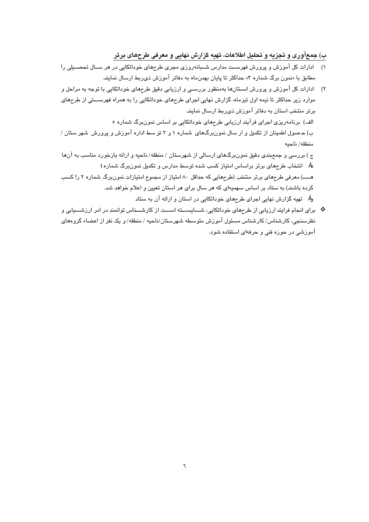ب) جمعآوری و تجزیه و تحلیل اطلاعات، تهیه گزارش نهایی و معرفی طرحهای برتر

- ۱) ادارات کل آموزش و پرورش فهرسـت مدارس شـبانهروزی مجری طرحهای خوداتکایی در هر سـال تحصــیلی را مطابق با «نمون برگ شماره ۳» حداکثر تا پایان بهمنماه به دفاتر آموزش ذی ربط ارسال نمایند.
- ۲) ادارات کل آموزش و پرورش اســتان۱ها بهمنظور بررســی و ارزیابی دقیق طرحهای خوداتکایی با توجه به مراحل و موارد زیر حداکثر تا نیمه اول تیرماه، گزارش نهایی اجرای طرحهای خوداتکایی را به همراه فهرســتی از طرحهای برتر منتخب استان به دفاتر آموزش ذي ربط ارسال نمايند. الف) برنامهریزی اجرای فرآیند ارزیابی طرحهای خوداتکایی بر اساس نمونبرگ شماره ٥ ب) حـصول اطمینان از تکمیل و ار سال نمونبرگهای شماره ۱ و ۲ تو سط اداره آموزش و پرورش شهر ستان /

منطقه/ناحبه ج ) بررسی و جمعبندی دقیق نمونبرگهای ارسالی از شهرستان / منطقه/ ناحیه و ارائه بازخورد مناسب به آنها لا*گ* انتخاب طرحهای برتر براساس امتیاز کسب شده توسط مدارس و تکمیل نمون برگ شماره ٤ هــــ) معرفی طرحهای برتر منتخب (طرحهایی که حداقل ۸۰ امتیاز از مجموع امتیازات نمونبرگ شماره ۲ را کسب کرده باشند) به ستاد بر اساس سهمیهای که هر سال برای هر استان تعیین و اعلام خواهد شد.

و*اگ* تهیه گزارش نهایی اجرای طرحهای خوداتکایی در استان و ارائه آن به ستاد

\* برای انجام فرایند ارزبایی از طرحهای خوداتکایی، شیباسیسته اسیست از کارشیسناس توانمند در امر ارزشیسایی و نظرسنجی، کارشناس/ کارشناس مسئول آموزش متوسطه شهرستان/ناحیه / منطقه/ و یک نفر از اعضاء گروههای آموزشی در حوزه فنی و حرفهای استفاده شود.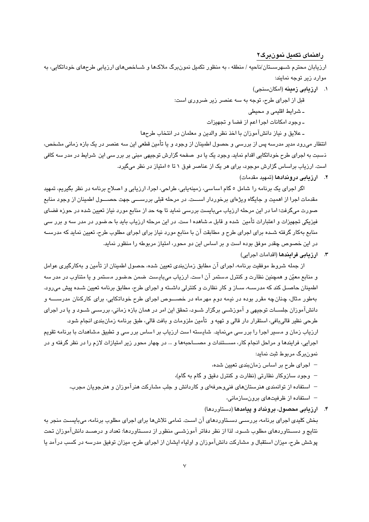#### راهنمای تکمیل نمونبرگ۲

ارزیابان محترم شــهرســتان/ناحیه / منطقه ، به منظور تکمیل نمون،برگ ملاکها و شــاخصهای ارزیابی طرحهای خوداتکایی، به موارد زیر توجه نمایند:

- ۰۱ ارزیابی زمینه (امکانسنجی)
- قبل از اجرای طرح، توجه به سه عنصر زیر ضروری است:
	- ـ شرايط اقليمي و محيطي
	- وجود امكانات اجرا اعم از فضا و تجهيزات
- ـ علايق و نياز دانشآموزان با اخذ نظر والدين و معلمان در انتخاب طرحها

انتظار می٫رود مدیر مدرسه پس از بررسی و حصول اطمینان از وجود و یا تأمین قطعی این سه عنصر در یک بازه زمانی مشخص، ذسبت به اجرای طرح خوداتکایی اقدام نماید. وجود یک یا دو صفحه گزارش توجیهی مبنی بر برر سی این شرایط در مدر سه کافی است. ارزیاب براساس گزارش موجود، برای هر یک از عناصر فوق ۱ تا ٥ امتیاز در نظر می گیرد.

۲. ارزیابی دروندادها (تمهید مقدمات)

اگر اجرای یک برنامه را شامل ٥ گام اساسی، زمینهیابی، طراحی، اجرا، ارزیابی و اصلاح برنامه در نظر بگیریم، تمهید مقدمات اجرا از اهمیت و جایگاه ویژهای برخوردار اســـت. در مرحله قبلی بررســـی جهت حصـــول اطمینان از وجود منابع صورت میگرفت؛ اما در این مرحله ارزیاب میبایست بررسی نماید تا چه حد از منابع مورد نیاز تعیین شده در حوزه فضای فیزیکی تجهیزات و اعتبارات تأمین شده و قابل مـشاهده ا ست. در این مرحله ارزیاب باید با حـضور در مدر سه و برر سی منابع بهکار گرفته شـده برای اجرای طرح و مطابقت آن با منابع مورد نیاز برای اجرای مطلوب طرح، تعیین نماید که مدرسـه در این خصوص چقدر موفق بوده است و بر اساس این دو محور، امتیاز مربوطه را منظور نماید.

٣. ارزيابي فرايندها (اقدامات اجرابي)

از جمله شروط موفقیت برنامه، اجرای آن مطابق زمانبندی تعیین شده، حصول اطمینان از تأمین و بهکارگیری عوامل و منابع معيّن و همچنين نظارت و كنترل مستمر آن است. ارزياب ميبايست ضمن حضور مستمر و يا متناوب در مدر سه اطمینان حاصـل کند که مدرسـه، سـاز و کار نظارت و کنترلی داشـته و اجرای طرح، مطابق برنامه تعیین شـده پیش می رود. بهطور مثال، چنان چه مقرر بوده در نیمه دوم مهرماه در خصـوص اجرای طرح خوداتکایی، برای کارکنان مدرســــه و دانشآموزان جلســات توجیهی و آموزشــی برگزار شــود، تحقق این امر در همان بازه زمانی، بررســی شــود و یا در اجرای طرحی نظیر قالیبافی، استقرار دار قالی و تهیه و تأمین ملزومات و بافت قالی، طبق برنامه زمان $بندی انجام شود.$ 

ارزیاب زمان و مسیر اجرا را برر سی مینماید. شایسته است ارزیاب بر اساس برر سی و تطبیق مشاهدات با برنامه تقویم اجرایی، فرایندها و مراحل انجام کار، مســتندات و مصـــاحبهها و … در چهار محور زیر امتیازات لازم را در نظر گرفته و در نمون،برگ مربوط ثبت نماید:

- اجرای طرح بر اساس زمانبندی تعیین شده،
- وجود سازوكار نظارتي (نظارت و كنترل دقيق و گام به گام)،
- استفاده از توانمندی هنرستانهای فنیوحرفهای و کاردانش و جلب مشارکت هنرآموزان و هنرجویان مجرب،
	- استفاده از ظرفیتهای برونسازمانی،
- ۴. ارزیابی محصول، برونداد و پیامدها (دستاوردها) بخش کلیدی اجرای برنامه، بررسـی دسـتاوردهای آن اسـت. تمامی تلاش۵ا برای اجرای مطلوب برنامه، میبایسـت منجر به نتایج و دســتاوردهای مطلوب شــود. لذا از نظر دفاتر آموزشــی منظور از دســتاوردها: تعداد و درصــد دانشآموزان تحت پوشش طرح، میزان استقبال و مشارکت دانشآموزان و اولیاء ایشان از اجرای طرح، میزان توفیق مدرسه در کسب درآمد یا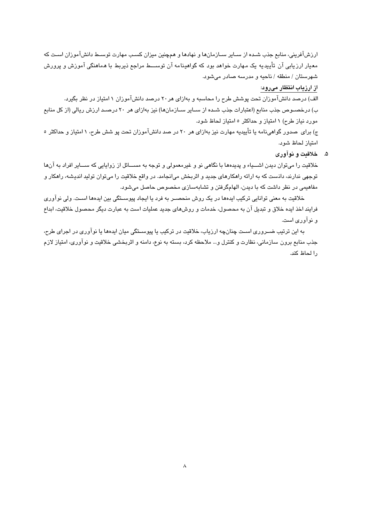ارزشآفرینی، منابع جذب شـده از ســایر ســازمانها و نهادها و همچنین میزان کسـب مهارت توسـط دانشآموزان اسـت که معیار ارزیابی آن تأییدیه یک مهارت خواهد بود که گواهینامه آن توســـط مراجع ذیربط با هماهنگی آموزش و پرورش شهرستان / منطقه / ناحیه و مدرسه صادر میشود.

#### از ارزیاب انتظار میرود:

الف) درصد دانشآموزان تحت پوشش طرح را محاسبه و بهازای هر ۲۰ درصد دانشآموزان ۱ امتیاز در نظر بگیرد. ب) درخصـوص جذب منابع (اعتبارات جذب شـده از سـاير سـازمانها) نيز بهازاي هر ٢٠ درصـد ارزش ريالي (از كل منابع مورد نیاز طرح) ۱ امتیاز و حداکثر ۵ امتیاز لحاظ شود.

ج) برای حمدور گواهی نامه یا تأییدیه مهارت نیز بهازای هر ۲۰ در صد دانشآموزان تحت پو شش طرح، ۱ امتیاز و حداکثر ۰ امتياز لحاظ شود.

#### ۵. خلاقت و نوآوري

خلاقیت را میتوان دیدن اشـــیاء و پدیدهها با نگاهی نو و غیرمعمولی و توجه به مســـائل از زوایایی که ســـایر افراد به آنها توجهی ندارند، دانست که به ارائه راهکارهای جدید و اثربخش میانجامد. در واقع خلاقیت را میتوان تولید اندیشه، راهکار و مفاهیمی در نظر داشت که یا دیدن، الهامگرفتن و تشاپهسازی مخصوص حاصل می شود.

خلاقیت به معنی توانایی ترکیب ایدهما در یک روش منحصـر به فرد یا ایجاد پیوسـتگی بین ایدهما اسـت. ولی نوآوری فرایند اخذ ایده خلاق و تبدیل آن به محصول، خدمات و روشهای جدید عملیات است به عبارت دیگر محصول خلاقیت، ابداع و نوآور*ی* است.

به این ترتیب ضــروری اسـت چنانچه ارزیاب، خلاقیت در ترکیب یا پیوســتگی میان ایدهها یا نوآوری در اجرای طرح، جذب منابع برون سازماني، نظارت و كنترل و… ملاحظه كرد، بسته به نوع، دامنه و اثربخشي خلاقيت و نوآوري، امتياز لازم , الحاظ كند.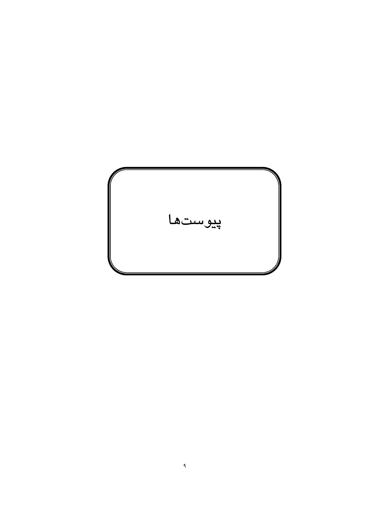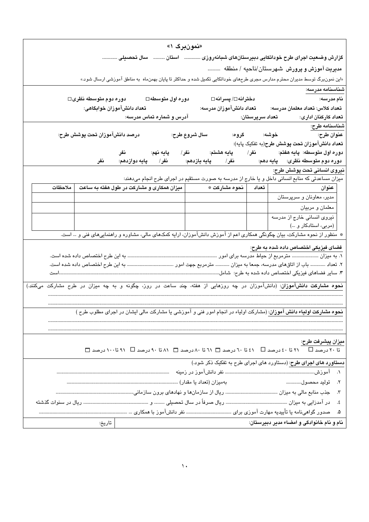| «نمونبرگ ۱»                                                                                                                    |  |
|--------------------------------------------------------------------------------------------------------------------------------|--|
| گزارش وضعیت اجرای طرح خوداتکایی دبیرستانهای شبانهروزی    استان    سال تحصیلی                                                   |  |
| مدیریت آموزش و پرورش شهرستان/ناحیه / منطقه                                                                                     |  |
| «این نمونبرگ توسط مدیران محترم مدارس مجری طرحهای خوداتکایی تکمیل شده و حداکثر تا پایان بهمنماه  به مناطق آموزشی ارسال شود.»    |  |
| شناسنامه مدرسه:                                                                                                                |  |
| دوره دوم متوسطه نظری□<br>دوره اول متوسطه□<br>دخترانه□⁄ پسرانه□<br>نام مدرسه:                                                   |  |
| تعداد كلاس: تعداد معلمان مدرسه:<br>تعداد دانشآموزان مدرسه:<br>تعداد دانشآموزان خوابگاهی:                                       |  |
| آدرس و شماره تماس مدرسه:<br>تعداد كاركنان ادارى:<br>تعداد سرپرستان:                                                            |  |
| شناسنامه طرح:                                                                                                                  |  |
| درصد دانشآموزان تحت پوشش طرح:<br>سال شروع طرح:                                                                                 |  |
| تعداد دانشآموزان تحت پوشش طرح(به تفكيك پايه):                                                                                  |  |
| پايه نهم:<br>نفر                                                                                                               |  |
| نفر/ پایه دوازدهم: نفر<br>نيروى انسانى تحت پوشش طرح:                                                                           |  |
| میزان مساعدتی که منابع انسانی داخل و یا خارج از مدرسه به صورت مستقیم در اجرای طرح انجام میدهند:                                |  |
| میزان همکاری و مشارکت در طول هفته به ساعت<br>  نحوه مشاركت *<br>ملاحظات<br>  تعداد<br>عنوان                                    |  |
| مدیر، معاونان و سرپرستان                                                                                                       |  |
| معلمان و مربيان                                                                                                                |  |
| نیروی انسانی خارج از مدرسه                                                                                                     |  |
| (مربی، استادکار و …)                                                                                                           |  |
| * منظور از نحوه مشارکت، بیان چگونگی همکاری اعم از آموزش دانشآموزان، ارایه کمکـهای مالی، مشاوره و راهنماییهای فنی و … است.      |  |
| فضای فیزیکی اختصاص داده شده به طرح:                                                                                            |  |
|                                                                                                                                |  |
| ۲. تعداد ………… باب از اتاقهای مدرسه، جمعا به میزان ………… مترمربع جهت امور …………………………………………… به این طرح اختصاص داده شده است.      |  |
|                                                                                                                                |  |
| <b>نحوه مشارکت دانشآموزان</b> : (دانشآموزان در چه روزهایی از هفته، چند ساعت در روز، چگونه و به چه میزان در طرح مشارکت میکنند.) |  |
|                                                                                                                                |  |
|                                                                                                                                |  |
| <b>نحوه مشارکت اولیاء دانش آموزان</b> : (مشارکت اولیاء در انجام امور فنی و آموزشی یا مشارکت مالی ایشان در اجرای مطلوب طرح )    |  |
|                                                                                                                                |  |
|                                                                                                                                |  |
| ميزان پيشرفت طرح:                                                                                                              |  |
| تا ۲۰ درصد ا $\Gamma$ ۲۰ تا ٤٠ درصد ا $\Gamma$ ۱۱ تا ۲۰ درصد است ۸۰ تا ۸۰ درصد است با ۹۱ تا ۱۰۰ درصد است                       |  |
| دستاورد های اجرای طرح: (دستاورد های اجرای طرح به تفکیک ذکر شود.)                                                               |  |
|                                                                                                                                |  |
| ٢. توليد محصول                                                                                                                 |  |
|                                                                                                                                |  |
| ٤.                                                                                                                             |  |
|                                                                                                                                |  |
| نام و نام خانوادگی و امضاء مدیر دبیرستان:<br>تاريخ:                                                                            |  |
|                                                                                                                                |  |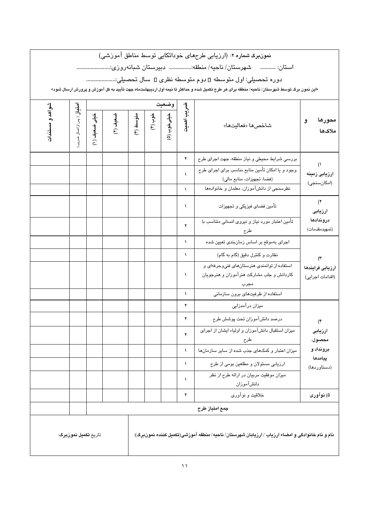نمونبرگ شماره ۲: (ارزیابی طرحهای خوداتکایی توسط مناطق آموزشی)

استان: ........... شهرستان/ناحیه/منطقه:.................... دبیرستان شبانهروزی:..........................

دوره تحصیلی: اول متوسطه □ دوم متوسطه نظری □ سال تحصیلی:.........................

«این نمون برگ توسط شهرستان/ ناحیه/ منطقه برای هر طرح تکمیل شده و حداکثر تا نیمه اول اردیبهشتماه جهت تأیید به کل آموزش و پرورش ارسال شود»

|                              |                                   |               |          | وضعيت     |         |             |                        |                                                                                                                             |                                      |  |
|------------------------------|-----------------------------------|---------------|----------|-----------|---------|-------------|------------------------|-----------------------------------------------------------------------------------------------------------------------------|--------------------------------------|--|
| شواهد و مستندات              | <b>اهٽيارُ</b> ( پس ازاعمال ضريب) | خيلى ضعيف (١) | ضعيف (٢) | ىتوسط (٣) | خوب (۴) | خيلى خوب (۵ | ضريب اهميت             | شاخصها «فعاليتها»                                                                                                           | محورها<br>$\mathbf{S}$<br>ملاكها     |  |
|                              |                                   |               |          |           |         |             | ۲                      | بررسي شرايط محيطي و نياز منطقه، جهت اجراي طرح                                                                               |                                      |  |
|                              |                                   |               |          |           |         |             | $\lambda$<br>$\lambda$ | وجود و یا امکان تأمین منابع مناسب برای اجرای طرح<br>(فضا، تجهيزات، منابع مالي)<br>نظرسنجی از دانشآموزان، معلمان و خانوادهها | (<br>ارزيابى زمينه<br>(امكانسنجى)    |  |
|                              |                                   |               |          |           |         |             | $\lambda$              | تأمین فضای فیزیکی و تجهیزات                                                                                                 | (7)<br>ارزيابى                       |  |
|                              |                                   |               |          |           |         |             | ۲                      | تأمین اعتبار مورد نیاز و نیروی انسانی متناسب با<br>طرح                                                                      | دروندادها<br>(تمهيدمقدمات)           |  |
|                              |                                   |               |          |           |         |             | $\lambda$              | اجرای بهموقع بر اساس زمانبندی تعیین شده                                                                                     |                                      |  |
|                              |                                   |               |          |           |         |             | $\lambda$              | نظارت و کنترل دقیق (گام به گام)                                                                                             | $(\tilde{r})$                        |  |
|                              |                                   |               |          |           |         |             | $\lambda$              | استفاده از توانمندی هنرستانهای فنیوحرفهای و<br>کاردانش و جلب مشارکت هنرآموزان و هنرجویان                                    | ارزيابى فرايندها<br>(اقدامات اجرايي) |  |
|                              |                                   |               |          |           |         |             | $\lambda$              | استفاده از ظرفیتهای برون سازمانی                                                                                            |                                      |  |
|                              |                                   |               |          |           |         |             | ۲                      | میزان درآمدزایی                                                                                                             |                                      |  |
|                              |                                   |               |          |           |         |             | ۲                      | درصد دانشآموزان تحت پوشش طرح                                                                                                | $($ ۴                                |  |
|                              |                                   |               |          |           |         |             | ۲                      | میزان استقبال دانشآموزان و اولیاء ایشان از اجرای<br>طرح                                                                     | ارزيابى<br>محصول،                    |  |
|                              |                                   |               |          |           |         |             | $\lambda$              | میزان اعتبار و کمکهای جذب شده از سایر سازمانها                                                                              | برونداد و                            |  |
|                              |                                   |               |          |           |         |             | ١                      | ارزيابي مسئولان و مطلعين بومي از طرح                                                                                        | پيامدها<br>(دستاوردها)               |  |
|                              |                                   |               |          |           |         |             | ١                      | میزان موفقیت مربیان در ارائه طرح از نظر<br>دانشآموزان                                                                       |                                      |  |
|                              |                                   |               |          |           |         |             | ۲                      | خلاقیت و نوآوری                                                                                                             | ۵) نوآوری                            |  |
|                              |                                   |               |          |           |         |             |                        | جمع امتياز طرح                                                                                                              |                                      |  |
| تاريخ <b>تكميل نمونبرگ</b> : |                                   |               |          |           |         |             |                        | نام و نام خانوادگی و امضاء ارزیاب / ارزیابان شهرستان/ ناحیه/ منطقه آموزشی(تکمیل کننده نمونبرگ):                             |                                      |  |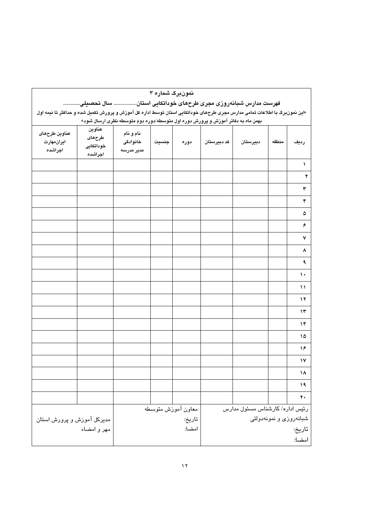| تهرست مدارس سبابه روزي مجري طرحهاي حودانحايي استان سان تحصيني<br>«این نمونبرگ با اطلاعات تمامی مدارس مجری طرحهای خوداتکایی استان توسط اداره کل آموزش و پرورش تکمیل شده و حداکثر تا نیمه اول<br>بهمن ماه به دفاتر آموزش و پرورش دوره اول متوسطه/دوره دوم متوسطه نظری ارسال شود» |                                          |                                     |       |                              |                                                           |          |       |                      |
|--------------------------------------------------------------------------------------------------------------------------------------------------------------------------------------------------------------------------------------------------------------------------------|------------------------------------------|-------------------------------------|-------|------------------------------|-----------------------------------------------------------|----------|-------|----------------------|
| عناوين طرحهاى<br>ايران،هارت<br>اجراشده                                                                                                                                                                                                                                         | عناوين<br>طرحهاى<br>خوداتكايي<br>اجراشده | نام و نام<br>خانوادگی<br>مدير مدرسه | جنسيت | دوره                         | كد دبيرستان                                               | دبيرستان | منطقه | رديف                 |
|                                                                                                                                                                                                                                                                                |                                          |                                     |       |                              |                                                           |          |       | ١                    |
|                                                                                                                                                                                                                                                                                |                                          |                                     |       |                              |                                                           |          |       | $\blacktriangledown$ |
|                                                                                                                                                                                                                                                                                |                                          |                                     |       |                              |                                                           |          |       | ٣                    |
|                                                                                                                                                                                                                                                                                |                                          |                                     |       |                              |                                                           |          |       | ۴                    |
|                                                                                                                                                                                                                                                                                |                                          |                                     |       |                              |                                                           |          |       | ۵                    |
|                                                                                                                                                                                                                                                                                |                                          |                                     |       |                              |                                                           |          |       | $\pmb{\varphi}$      |
|                                                                                                                                                                                                                                                                                |                                          |                                     |       |                              |                                                           |          |       | $\checkmark$         |
|                                                                                                                                                                                                                                                                                |                                          |                                     |       |                              |                                                           |          |       | ۸                    |
|                                                                                                                                                                                                                                                                                |                                          |                                     |       |                              |                                                           |          |       | ٩                    |
|                                                                                                                                                                                                                                                                                |                                          |                                     |       |                              |                                                           |          |       | $\mathcal{L}$        |
|                                                                                                                                                                                                                                                                                |                                          |                                     |       |                              |                                                           |          |       | ۱۱                   |
|                                                                                                                                                                                                                                                                                |                                          |                                     |       |                              |                                                           |          |       | ۱۲                   |
|                                                                                                                                                                                                                                                                                |                                          |                                     |       |                              |                                                           |          |       | ۱۳                   |
|                                                                                                                                                                                                                                                                                |                                          |                                     |       |                              |                                                           |          |       | ۱۴                   |
|                                                                                                                                                                                                                                                                                |                                          |                                     |       |                              |                                                           |          |       | ۱۵                   |
|                                                                                                                                                                                                                                                                                |                                          |                                     |       |                              |                                                           |          |       | ۱۶                   |
|                                                                                                                                                                                                                                                                                |                                          |                                     |       |                              |                                                           |          |       | ۱۷                   |
|                                                                                                                                                                                                                                                                                |                                          |                                     |       |                              |                                                           |          |       | ۱۸                   |
|                                                                                                                                                                                                                                                                                |                                          |                                     |       |                              |                                                           |          |       | ۱۹                   |
|                                                                                                                                                                                                                                                                                |                                          |                                     |       |                              |                                                           |          |       | $\pmb{\gamma}$ .     |
| مدیرکل آموزش و پرورش استان                                                                                                                                                                                                                                                     |                                          |                                     |       | معاون آموزش متوسطه<br>تاريخ: | رئیس ادارہ/ کارشناس مسئول مدارس<br>شبانەروزى و نمونەدولتى |          |       |                      |
|                                                                                                                                                                                                                                                                                | مهر و امضاء                              |                                     |       | امضا:                        | تاريخ:<br>امضا:                                           |          |       |                      |

ِ فهرستِ مدارس شيانه, وزي محري طرحهاي خوداتِکابي استان... ... سال تحصيك

نمونبرگ شماره ۳

 $\mathcal{N}$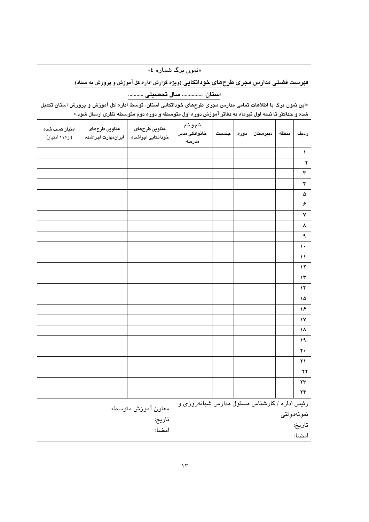«نمون برگ شماره ٤»

فهرست فضلی مدارس مجری طرحهای خوداتکایی (ویژه گزارش اداره کل آموزش و پرورش به ستاد)

استان: .............. سال تحصيلى ...........

«این نمون برگ با اطلاعات تمامی مدارس مجری طرحهای خوداتکایی استان، توسط اداره کل آموزش و پرورش استان تکمیل .<br>| شده و حداکثر تا نیمه اول تیرماه به دفاتر آموزش دوره اول متوسطه و دوره دوم متوسطه نظری ارسال شود.»

| امتياز كسب شده<br>(از۱۱۰ امتیاز) | عناوين طرحهاى<br>ايران،هارت اجراشده | عناوين طرحهاى<br>خوداتكايي اجراشده           | نام و نام<br>خانوادگی مدیر<br>مدرسه | جنسيت | ادوره | دبيرستان | منطقه | رديف                   |
|----------------------------------|-------------------------------------|----------------------------------------------|-------------------------------------|-------|-------|----------|-------|------------------------|
|                                  |                                     |                                              |                                     |       |       |          |       | $\lambda$              |
|                                  |                                     |                                              |                                     |       |       |          |       | $\mathbf{r}$           |
|                                  |                                     |                                              |                                     |       |       |          |       | $\pmb{\curlyvee}$      |
|                                  |                                     |                                              |                                     |       |       |          |       | $\mathbf{\hat{r}}$     |
|                                  |                                     |                                              |                                     |       |       |          |       | ۵                      |
|                                  |                                     |                                              |                                     |       |       |          |       | ۶                      |
|                                  |                                     |                                              |                                     |       |       |          |       | $\check{\mathbf{v}}$   |
|                                  |                                     |                                              |                                     |       |       |          |       | ٨                      |
|                                  |                                     |                                              |                                     |       |       |          |       | ٩                      |
|                                  |                                     |                                              |                                     |       |       |          |       | $\mathcal{N}$          |
|                                  |                                     |                                              |                                     |       |       |          |       | $\mathcal{N}$          |
|                                  |                                     |                                              |                                     |       |       |          |       | $\mathbf{y}$           |
|                                  |                                     |                                              |                                     |       |       |          |       | $\mathcal{N}$          |
|                                  |                                     |                                              |                                     |       |       |          |       | $\mathcal{N}$          |
|                                  |                                     |                                              |                                     |       |       |          |       | ۱۵                     |
|                                  |                                     |                                              |                                     |       |       |          |       | ۱۶                     |
|                                  |                                     |                                              |                                     |       |       |          |       | $\mathsf{N}$           |
|                                  |                                     |                                              |                                     |       |       |          |       | ۱۸                     |
|                                  |                                     |                                              |                                     |       |       |          |       | ۱۹                     |
|                                  |                                     |                                              |                                     |       |       |          |       | $\mathbf{r}$           |
|                                  |                                     |                                              |                                     |       |       |          |       | ۲۱                     |
|                                  |                                     |                                              |                                     |       |       |          |       | $\mathbf{y}$           |
|                                  |                                     |                                              |                                     |       |       |          |       | $\mathbf{Y}\mathbf{Y}$ |
|                                  |                                     |                                              |                                     |       |       |          |       | ۲۴                     |
|                                  | معاون آموزش متوسطه                  | رئیس اداره / کارشناس مسئول مدارس شبانهروزی و |                                     |       |       |          |       |                        |
|                                  |                                     | نمونەدولتى                                   |                                     |       |       |          |       |                        |
|                                  |                                     | تاريخ:                                       |                                     |       |       |          |       |                        |
|                                  |                                     | امضا:                                        |                                     |       |       |          |       |                        |